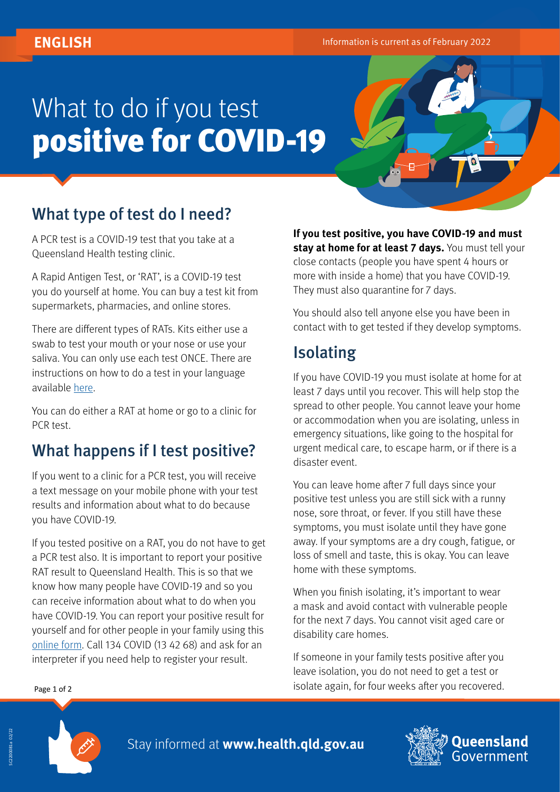# What to do if you test positive for COVID-19

# What type of test do I need?

A PCR test is a COVID-19 test that you take at a Queensland Health testing clinic.

A Rapid Antigen Test, or 'RAT', is a COVID-19 test you do yourself at home. You can buy a test kit from supermarkets, pharmacies, and online stores.

There are different types of RATs. Kits either use a swab to test your mouth or your nose or use your saliva. You can only use each test ONCE. There are instructions on how to do a test in your language available [here.](https://www.sbs.com.au/language/english/how-to-do-a-rapid-antigen-test-in-your-language)

You can do either a RAT at home or go to a clinic for PCR test.

#### What happens if I test positive?

If you went to a clinic for a PCR test, you will receive a text message on your mobile phone with your test results and information about what to do because you have COVID-19.

If you tested positive on a RAT, you do not have to get a PCR test also. It is important to report your positive RAT result to Queensland Health. This is so that we know how many people have COVID-19 and so you can receive information about what to do when you have COVID-19. You can report your positive result for yourself and for other people in your family using this [online form.](https://www.qld.gov.au/rat-positive) Call 134 COVID (13 42 68) and ask for an interpreter if you need help to register your result.

**If you test positive, you have COVID-19 and must stay at home for at least 7 days.** You must tell your close contacts (people you have spent 4 hours or more with inside a home) that you have COVID-19. They must also quarantine for 7 days.

You should also tell anyone else you have been in contact with to get tested if they develop symptoms.

# Isolating

If you have COVID-19 you must isolate at home for at least 7 days until you recover. This will help stop the spread to other people. You cannot leave your home or accommodation when you are isolating, unless in emergency situations, like going to the hospital for urgent medical care, to escape harm, or if there is a disaster event.

You can leave home after 7 full days since your positive test unless you are still sick with a runny nose, sore throat, or fever. If you still have these symptoms, you must isolate until they have gone away. If your symptoms are a dry cough, fatigue, or loss of smell and taste, this is okay. You can leave home with these symptoms.

When you finish isolating, it's important to wear a mask and avoid contact with vulnerable people for the next 7 days. You cannot visit aged care or disability care homes.

If someone in your family tests positive after you leave isolation, you do not need to get a test or isolate again, for four weeks after you recovered. Page 1 of 2